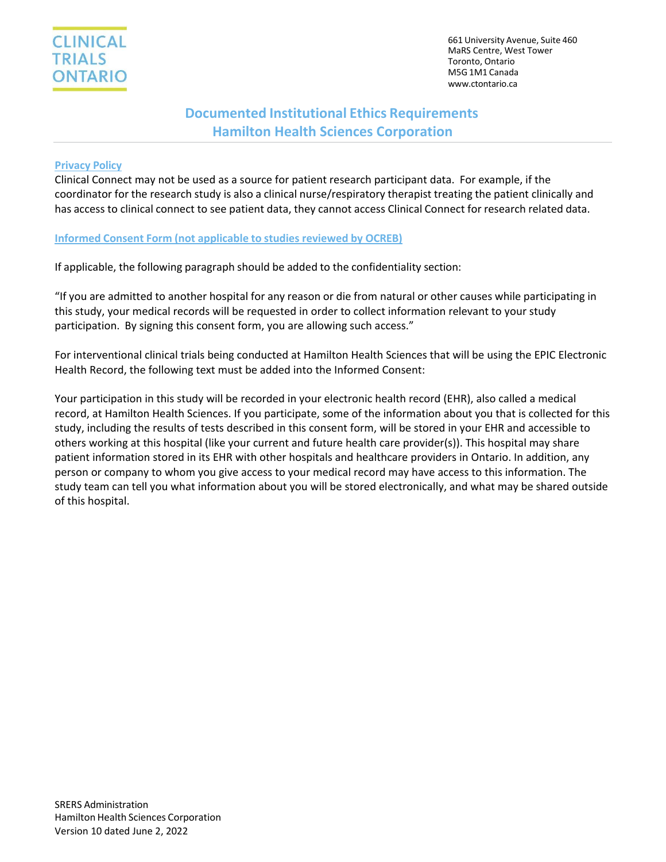661 University Avenue, Suite 460 MaRS Centre, West Tower Toronto, Ontario M5G 1M1 Canada [www.ctontario.ca](http://www.ctontario.ca/)

## **Documented Institutional Ethics Requirements Hamilton Health Sciences Corporation**

## **Privacy Policy**

Clinical Connect may not be used as a source for patient research participant data. For example, if the coordinator for the research study is also a clinical nurse/respiratory therapist treating the patient clinically and has access to clinical connect to see patient data, they cannot access Clinical Connect for research related data.

### **Informed Consent Form (not applicable to studies reviewed by OCREB)**

If applicable, the following paragraph should be added to the confidentiality section:

"If you are admitted to another hospital for any reason or die from natural or other causes while participating in this study, your medical records will be requested in order to collect information relevant to your study participation. By signing this consent form, you are allowing such access."

For interventional clinical trials being conducted at Hamilton Health Sciences that will be using the EPIC Electronic Health Record, the following text must be added into the Informed Consent:

Your participation in this study will be recorded in your electronic health record (EHR), also called a medical record, at Hamilton Health Sciences. If you participate, some of the information about you that is collected for this study, including the results of tests described in this consent form, will be stored in your EHR and accessible to others working at this hospital (like your current and future health care provider(s)). This hospital may share patient information stored in its EHR with other hospitals and healthcare providers in Ontario. In addition, any person or company to whom you give access to your medical record may have access to this information. The study team can tell you what information about you will be stored electronically, and what may be shared outside of this hospital.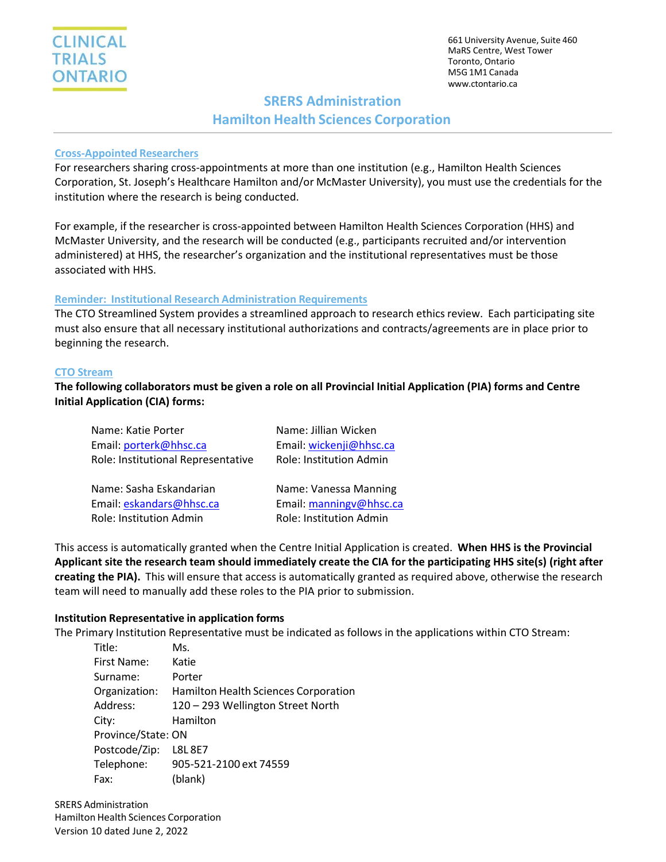661 University Avenue, Suite 460 MaRS Centre, West Tower Toronto, Ontario M5G 1M1 Canada [www.ctontario.ca](http://www.ctontario.ca/)

# **SRERS Administration**

## **Hamilton Health Sciences Corporation**

## **Cross-Appointed Researchers**

For researchers sharing cross-appointments at more than one institution (e.g., Hamilton Health Sciences Corporation, St. Joseph's Healthcare Hamilton and/or McMaster University), you must use the credentials for the institution where the research is being conducted.

For example, if the researcher is cross-appointed between Hamilton Health Sciences Corporation (HHS) and McMaster University, and the research will be conducted (e.g., participants recruited and/or intervention administered) at HHS, the researcher's organization and the institutional representatives must be those associated with HHS.

## **Reminder: Institutional Research Administration Requirements**

The CTO Streamlined System provides a streamlined approach to research ethics review. Each participating site must also ensure that all necessary institutional authorizations and contracts/agreements are in place prior to beginning the research.

### **CTO Stream**

The following collaborators must be given a role on all Provincial Initial Application (PIA) forms and Centre **Initial Application (CIA) forms:**

| Name: Katie Porter                 | Name: Jillian Wicken    |
|------------------------------------|-------------------------|
| Email: porterk@hhsc.ca             | Email: wickenji@hhsc.ca |
| Role: Institutional Representative | Role: Institution Admin |
|                                    |                         |
| Name: Sasha Eskandarian            | Name: Vanessa Manning   |
| Email: eskandars@hhsc.ca           | Email: manningv@hhsc.ca |
| Role: Institution Admin            | Role: Institution Admin |

This access is automatically granted when the Centre Initial Application is created. **When HHS is the Provincial Applicant site the research team should immediately create the CIA for the participating HHS site(s) (right after creating the PIA).** This will ensure that access is automatically granted as required above, otherwise the research team will need to manually add these roles to the PIA prior to submission.

## **Institution Representative in application forms**

The Primary Institution Representative must be indicated as follows in the applications within CTO Stream:

| Title:             | Ms.                                  |
|--------------------|--------------------------------------|
| First Name:        | Katie                                |
| Surname:           | Porter                               |
| Organization:      | Hamilton Health Sciences Corporation |
| Address:           | 120 - 293 Wellington Street North    |
| City:              | Hamilton                             |
| Province/State: ON |                                      |
| Postcode/Zip:      | L8L 8E7                              |
| Telephone:         | 905-521-2100 ext 74559               |
| Fax:               | (blank)                              |

SRERS Administration Hamilton Health Sciences Corporation Version 10 dated June 2, 2022